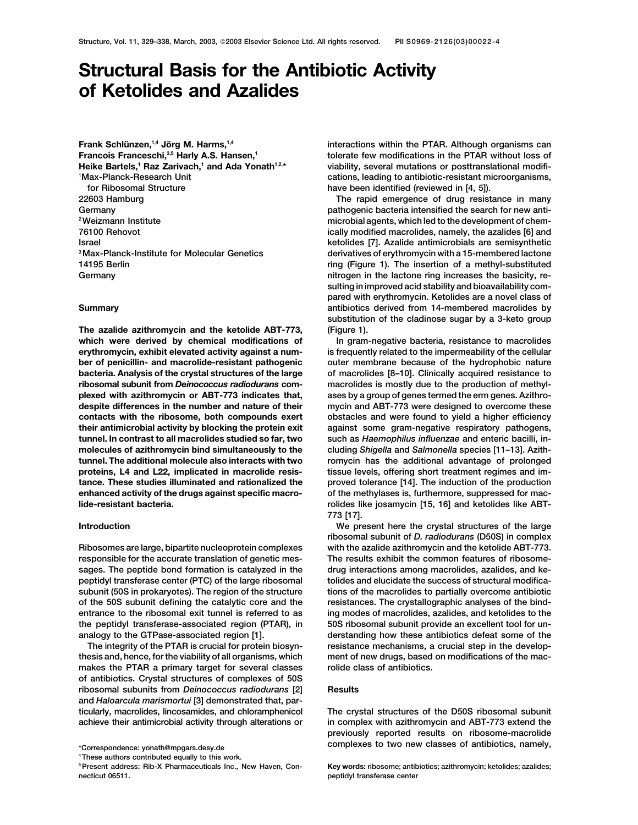# **Structural Basis for the Antibiotic Activity of Ketolides and Azalides**

**Frank Schlünzen,<sup>1,4</sup> Jörg M. Harms,<sup>1,4</sup> Francois Franceschi,3,5 Harly A.S. Hansen,1** Heike Bartels,<sup>1</sup> Raz Zarivach,<sup>1</sup> and Ada Yonath<sup>1,2,\*</sup> <sup>1</sup>Max-Planck-Research Unit **for Ribosomal Structure have been identified (reviewed in [4, 5]). 22603 Hamburg The rapid emergence of drug resistance in many**

**The azalide azithromycin and the ketolide ABT-773, (Figure 1). which were derived by chemical modifications of In gram-negative bacteria, resistance to macrolides erythromycin, exhibit elevated activity against a num- is frequently related to the impermeability of the cellular ber of penicillin- and macrolide-resistant pathogenic outer membrane because of the hydrophobic nature bacteria. Analysis of the crystal structures of the large of macrolides [8–10]. Clinically acquired resistance to ribosomal subunit from** *Deinococcus radiodurans* **com- macrolides is mostly due to the production of methylplexed with azithromycin or ABT-773 indicates that, ases by a group of genes termed the erm genes. Azithrodespite differences in the number and nature of their mycin and ABT-773 were designed to overcome these contacts with the ribosome, both compounds exert obstacles and were found to yield a higher efficiency their antimicrobial activity by blocking the protein exit against some gram-negative respiratory pathogens, tunnel. In contrast to all macrolides studied so far, two such as** *Haemophilus influenzae* **and enteric bacilli, inmolecules of azithromycin bind simultaneously to the cluding** *Shigella* **and** *Salmonella* **species [11–13]. Azithtunnel. The additional molecule also interacts with two romycin has the additional advantage of prolonged proteins, L4 and L22, implicated in macrolide resis- tissue levels, offering short treatment regimes and imtance. These studies illuminated and rationalized the proved tolerance [14]. The induction of the production enhanced activity of the drugs against specific macro- of the methylases is, furthermore, suppressed for mac-**

**thesis and, hence, for the viability of all organisms, which ment of new drugs, based on modifications of the macmakes the PTAR a primary target for several classes rolide class of antibiotics. of antibiotics. Crystal structures of complexes of 50S ribosomal subunits from** *Deinococcus radiodurans* **[2] Results and** *Haloarcula marismortui* **[3] demonstrated that, particularly, macrolides, lincosamides, and chloramphenicol The crystal structures of the D50S ribosomal subunit**

**interactions within the PTAR. Although organisms can tolerate few modifications in the PTAR without loss of viability, several mutations or posttranslational modifi**cations, leading to antibiotic-resistant microorganisms,

**Germany pathogenic bacteria intensified the search for new anti-** <sup>2</sup> Weizmann Institute **microbial agents, which led to the development of chem-76100 Rehovot ically modified macrolides, namely, the azalides [6] and Israel ketolides [7]. Azalide antimicrobials are semisynthetic derivatives of erythromycin with a 15-membered lactone 3Max-Planck-Institute for Molecular Genetics 14195 Berlin ring (Figure 1). The insertion of a methyl-substituted Germany nitrogen in the lactone ring increases the basicity, resulting in improved acid stability and bioavailability compared with erythromycin. Ketolides are a novel class of Summary antibiotics derived from 14-membered macrolides by substitution of the cladinose sugar by a 3-keto group**

**lide-resistant bacteria. rolides like josamycin [15, 16] and ketolides like ABT-773 [17].**

**Introduction We present here the crystal structures of the large ribosomal subunit of** *D. radiodurans* **(D50S) in complex Ribosomes are large, bipartite nucleoprotein complexes with the azalide azithromycin and the ketolide ABT-773. responsible for the accurate translation of genetic mes- The results exhibit the common features of ribosomesages. The peptide bond formation is catalyzed in the drug interactions among macrolides, azalides, and kepeptidyl transferase center (PTC) of the large ribosomal tolides and elucidate the success of structural modificasubunit (50S in prokaryotes). The region of the structure tions of the macrolides to partially overcome antibiotic of the 50S subunit defining the catalytic core and the resistances. The crystallographic analyses of the bindentrance to the ribosomal exit tunnel is referred to as ing modes of macrolides, azalides, and ketolides to the the peptidyl transferase-associated region (PTAR), in 50S ribosomal subunit provide an excellent tool for unanalogy to the GTPase-associated region [1]. derstanding how these antibiotics defeat some of the The integrity of the PTAR is crucial for protein biosyn- resistance mechanisms, a crucial step in the develop-**

**achieve their antimicrobial activity through alterations or in complex with azithromycin and ABT-773 extend the previously reported results on ribosome-macrolide complexes to two new classes of antibiotics, namely, \*Correspondence: yonath@mpgars.desy.de**

**<sup>4</sup>These authors contributed equally to this work.**

**<sup>5</sup>Present address: Rib-X Pharmaceuticals Inc., New Haven, Con- Key words: ribosome; antibiotics; azithromycin; ketolides; azalides; necticut 06511. peptidyl transferase center**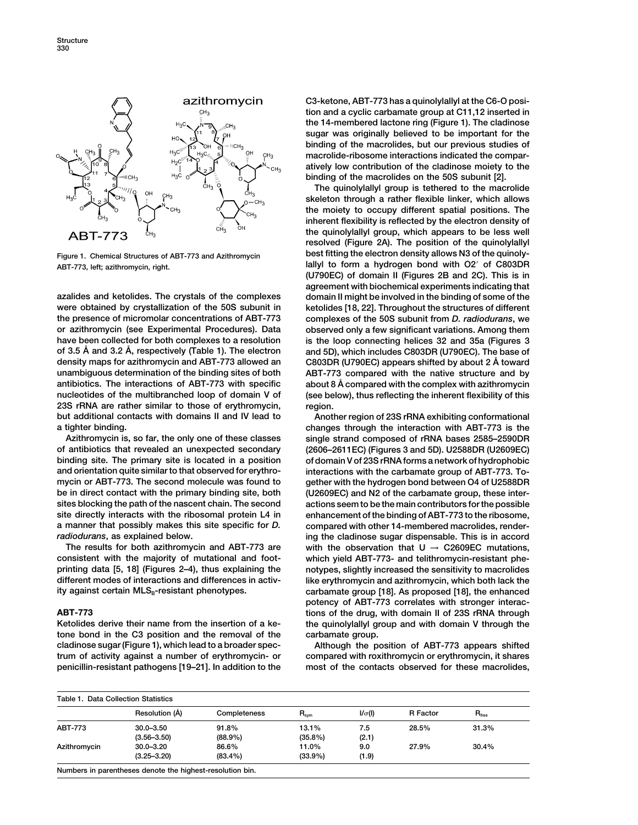

**were obtained by crystallization of the 50S subunit in ketolides [18, 22]. Throughout the structures of different the presence of micromolar concentrations of ABT-773 complexes of the 50S subunit from** *D. radiodurans***, we or azithromycin (see Experimental Procedures). Data observed only a few significant variations. Among them have been collected for both complexes to a resolution is the loop connecting helices 32 and 35a (Figures 3 of 3.5 A˚ and 3.2 A˚ , respectively (Table 1). The electron and 5D), which includes C803DR (U790EC). The base of density maps for azithromycin and ABT-773 allowed an C803DR (U790EC) appears shifted by about 2 A˚ toward unambiguous determination of the binding sites of both ABT-773 compared with the native structure and by antibiotics. The interactions of ABT-773 with specific about 8 A˚ compared with the complex with azithromycin nucleotides of the multibranched loop of domain V of (see below), thus reflecting the inherent flexibility of this 23S rRNA are rather similar to those of erythromycin, region. but additional contacts with domains II and IV lead to Another region of 23S rRNA exhibiting conformational a tighter binding. changes through the interaction with ABT-773 is the**

**of antibiotics that revealed an unexpected secondary (2606–2611EC) (Figures 3 and 5D). U2588DR (U2609EC) binding site. The primary site is located in a position of domain V of 23S rRNA forms a network of hydrophobic and orientation quite similar to that observed for erythro- interactions with the carbamate group of ABT-773. Tomycin or ABT-773. The second molecule was found to gether with the hydrogen bond between O4 of U2588DR be in direct contact with the primary binding site, both (U2609EC) and N2 of the carbamate group, these intersites blocking the path of the nascent chain. The second actions seem to be the main contributors for the possible site directly interacts with the ribosomal protein L4 in enhancement of the binding of ABT-773 to the ribosome, a manner that possibly makes this site specific for** *D.* **compared with other 14-membered macrolides, render***radiodurans***, as explained below. ing the cladinose sugar dispensable. This is in accord**

**printing data [5, 18] (Figures 2–4), thus explaining the notypes, slightly increased the sensitivity to macrolides different modes of interactions and differences in activ- like erythromycin and azithromycin, which both lack the** ity against certain MLS<sub>B</sub>-resistant phenotypes. **carbamate group [18]**. As proposed [18], the enhanced

**tone bond in the C3 position and the removal of the carbamate group. cladinose sugar (Figure 1), which lead to a broader spec- Although the position of ABT-773 appears shifted trum of activity against a number of erythromycin- or compared with roxithromycin or erythromycin, it shares penicillin-resistant pathogens [19–21]. In addition to the most of the contacts observed for these macrolides,**

**C3-ketone, ABT-773 has a quinolylallyl at the C6-O position and a cyclic carbamate group at C11,12 inserted in the 14-membered lactone ring (Figure 1). The cladinose sugar was originally believed to be important for the binding of the macrolides, but our previous studies of macrolide-ribosome interactions indicated the comparatively low contribution of the cladinose moiety to the binding of the macrolides on the 50S subunit [2].**

**The quinolylallyl group is tethered to the macrolide skeleton through a rather flexible linker, which allows the moiety to occupy different spatial positions. The inherent flexibility is reflected by the electron density of the quinolylallyl group, which appears to be less well resolved (Figure 2A). The position of the quinolylallyl Figure 1. Chemical Structures of ABT-773 and Azithromycin best fitting the electron density allows N3 of the quinoly-ABT-773, left; azithromycin, right. lallyl to form a hydrogen bond with O2 of C803DR (U790EC) of domain II (Figures 2B and 2C). This is in agreement with biochemical experiments indicating that azalides and ketolides. The crystals of the complexes domain II might be involved in the binding of some of the**

**Azithromycin is, so far, the only one of these classes single strand composed of rRNA bases 2585–2590DR The results for both azithromycin and ABT-773 are with the observation that U** → **C2609EC mutations,** which yield ABT-773- and telithromycin-resistant phe**potency of ABT-773 correlates with stronger interac-ABT-773 tions of the drug, with domain II of 23S rRNA through Ketolides derive their name from the insertion of a ke- the quinolylallyl group and with domain V through the**

| Table 1. Data Collection Statistics |                 |                     |                  |               |                 |                   |  |
|-------------------------------------|-----------------|---------------------|------------------|---------------|-----------------|-------------------|--|
|                                     | Resolution (Å)  | <b>Completeness</b> | $R_{\text{sym}}$ | $I/\sigma(I)$ | <b>R</b> Factor | $R_{\text{free}}$ |  |
| ABT-773                             | $30.0 - 3.50$   | 91.8%               | 13.1%            | 7.5           | 28.5%           | 31.3%             |  |
|                                     | $(3.56 - 3.50)$ | $(88.9\%)$          | $(35.8\%)$       | (2.1)         |                 |                   |  |
| Azithromycin                        | $30.0 - 3.20$   | 86.6%               | 11.0%            | 9.0           | 27.9%           | 30.4%             |  |
|                                     | $(3.25 - 3.20)$ | $(83.4\%)$          | $(33.9\%)$       | (1.9)         |                 |                   |  |

**Numbers in parentheses denote the highest-resolution bin.**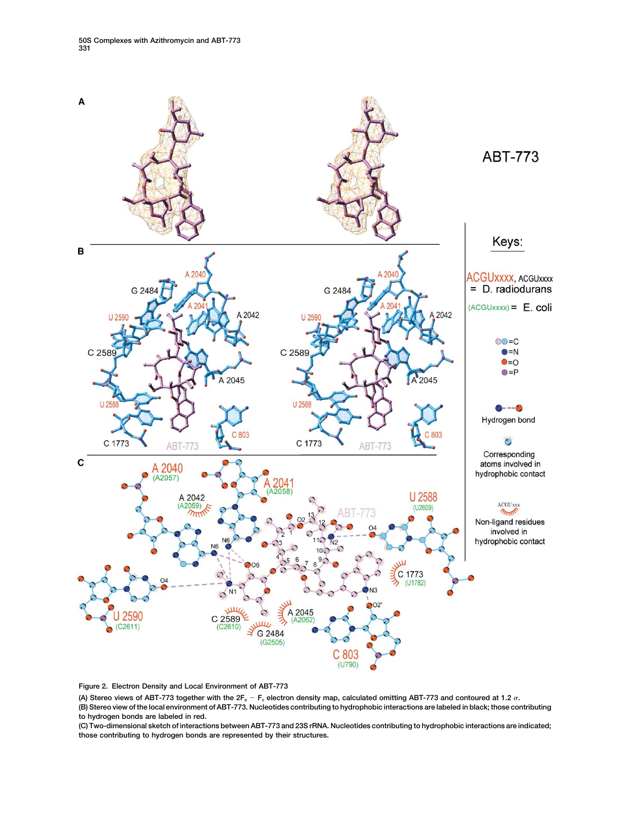

**Figure 2. Electron Density and Local Environment of ABT-773**

**(A)** Stereo views of ABT-773 together with the 2F $_{\circ}$  – F $_{\circ}$  electron density map, calculated omitting ABT-773 and contoured at 1.2  $\sigma$ .

**(B) Stereo view of the local environment of ABT-773. Nucleotides contributing to hydrophobic interactions are labeled in black; those contributing to hydrogen bonds are labeled in red.**

**(C) Two-dimensional sketch of interactions between ABT-773 and 23S rRNA. Nucleotides contributing to hydrophobic interactions are indicated; those contributing to hydrogen bonds are represented by their structures.**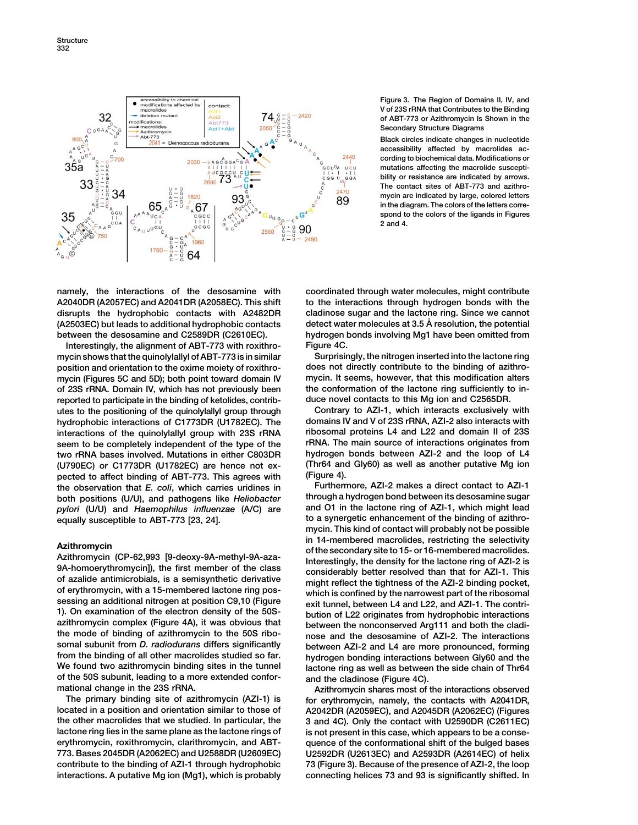

**Figure 3. The Region of Domains II, IV, and V of 23S rRNA that Contributes to the Binding of ABT-773 or Azithromycin Is Shown in the Secondary Structure Diagrams**

**Black circles indicate changes in nucleotide accessibility affected by macrolides according to biochemical data. Modifications or mutations affecting the macrolide susceptibility or resistance are indicated by arrows. The contact sites of ABT-773 and azithromycin are indicated by large, colored letters in the diagram. The colors of the letters correspond to the colors of the ligands in Figures 2 and 4.**

**namely, the interactions of the desosamine with coordinated through water molecules, might contribute A2040DR (A2057EC) and A2041DR (A2058EC). This shift to the interactions through hydrogen bonds with the disrupts the hydrophobic contacts with A2482DR cladinose sugar and the lactone ring. Since we cannot detect water molecules at 3.5 A˚ (A2503EC) but leads to additional hydrophobic contacts resolution, the potential between the desosamine and C2589DR (C2610EC). hydrogen bonds involving Mg1 have been omitted from**

**Interestingly, the alignment of ABT-773 with roxithro- Figure 4C. mycin shows that the quinolylallyl of ABT-773 is in similar Surprisingly, the nitrogen inserted into the lactone ring position and orientation to the oxime moiety of roxithro- does not directly contribute to the binding of azithromycin (Figures 5C and 5D); both point toward domain IV mycin. It seems, however, that this modification alters** of 23S rRNA. Domain IV, which has not previously been **reported to participate in the binding of ketolides, contrib- duce novel contacts to this Mg ion and C2565DR.** utes to the positioning of the quinolylallyl group through **hydrophobic interactions of C1773DR (U1782EC). The domains IV and V of 23S rRNA, AZI-2 also interacts with interactions of the quinolylallyl group with 23S rRNA ribosomal proteins L4 and L22 and domain II of 23S** seem to be completely independent of the type of the **rRNA.** The main source of interactions originates from<br>two rRNA bases involved. Mutations in either C803DR bydrogen bonds between AZI-2 and the loop of L4 **two rRNA bases involved. Mutations in either C803DR hydrogen bonds between AZI-2 and the loop of L4 (U790EC)** or C1773DR (U1782EC) are hence not ex**pected to affect binding of ABT-773. This agrees with (Figure 4). the observation that** *E. coli***, which carries uridines in Furthermore, AZI-2 makes a direct contact to AZI-1 both positions (U/U), and pathogens like** *Heliobacter* **through a hydrogen bond between its desosamine sugar** *pylori* (U/U) and *Haemophilus influenzae* (A/C) are **equally susceptible to ABT-773 [23, 24]. to a synergetic enhancement of the binding of azithro-**

the mode of binding of azithromycin to the 50S ribo-<br>
somal subunit from *D. radiodurans* differs significantly<br>
from the binding of all other macrolides studied so far.<br>
by browner bonding interactions between Gly60 and t **from the binding of all other macrolides studied so far. hydrogen bonding interactions between Gly60 and the of the 50S subunit, leading to a more extended confor- and the cladinose (Figure 4C).**

**The primary binding site of azithromycin (AZI-1) is for erythromycin, namely, the contacts with A2041DR, located in a position and orientation similar to those of A2042DR (A2059EC), and A2045DR (A2062EC) (Figures the other macrolides that we studied. In particular, the 3 and 4C). Only the contact with U2590DR (C2611EC) erythromycin, roxithromycin, clarithromycin, and ABT- quence of the conformational shift of the bulged bases 773. Bases 2045DR (A2062EC) and U2588DR (U2609EC) U2592DR (U2613EC) and A2593DR (A2614EC) of helix contribute to the binding of AZI-1 through hydrophobic 73 (Figure 3). Because of the presence of AZI-2, the loop interactions. A putative Mg ion (Mg1), which is probably connecting helices 73 and 93 is significantly shifted. In**

**mycin. This kind of contact will probably not be possible** Azithromycin (CP-62,993 [9-deoxy-9A-methyl-9A-aza-<br>
9A-homoerythromycin (CP-62,993 [9-deoxy-9A-methyl-9A-aza-<br>
9A-homoerythromycin]), the first member of the class<br>
of azalide antimicrobials, is a semisynthetic derivative<br> lactone ring as well as between the side chain of Thr64

**mational change in the 23S rRNA. Azithromycin shares most of the interactions observed** is not present in this case, which appears to be a conse-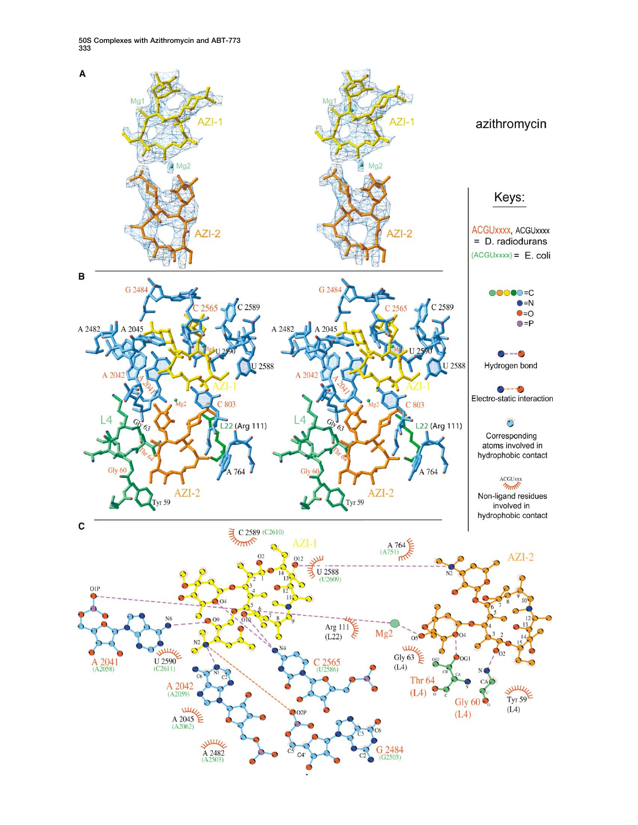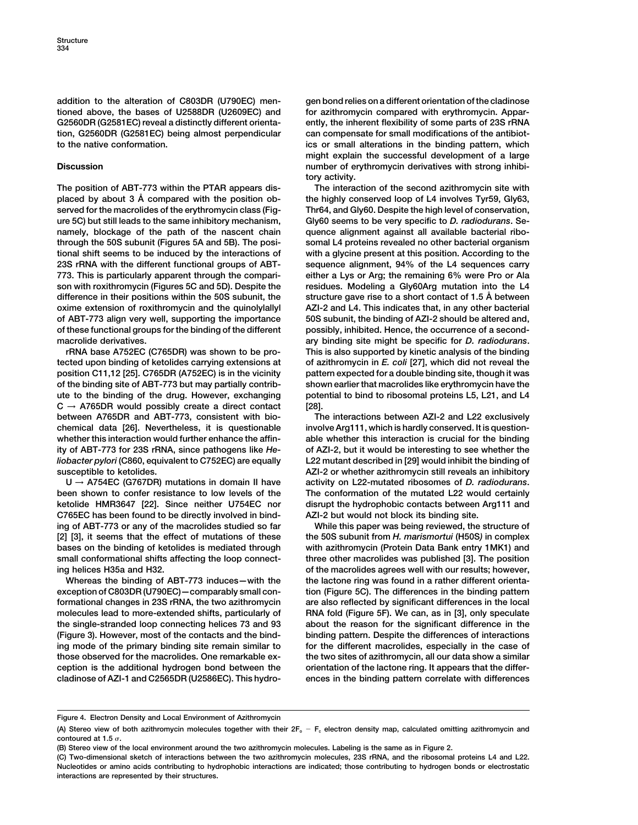**addition to the alteration of C803DR (U790EC) men- gen bond relies on a different orientation of the cladinose tioned above, the bases of U2588DR (U2609EC) and for azithromycin compared with erythromycin. Appar-G2560DR (G2581EC) reveal a distinctly different orienta- ently, the inherent flexibility of some parts of 23S rRNA tion, G2560DR (G2581EC) being almost perpendicular can compensate for small modifications of the antibiotto the native conformation. ics or small alterations in the binding pattern, which**

**The position of ABT-773 within the PTAR appears dis- The interaction of the second azithromycin site with placed by about 3 A˚ compared with the position ob- the highly conserved loop of L4 involves Tyr59, Gly63, served for the macrolides of the erythromycin class (Fig- Thr64, and Gly60. Despite the high level of conservation, ure 5C) but still leads to the same inhibitory mechanism, Gly60 seems to be very specific to** *D. radiodurans***. Senamely, blockage of the path of the nascent chain quence alignment against all available bacterial ribothrough the 50S subunit (Figures 5A and 5B). The posi- somal L4 proteins revealed no other bacterial organism tional shift seems to be induced by the interactions of with a glycine present at this position. According to the 23S rRNA with the different functional groups of ABT- sequence alignment, 94% of the L4 sequences carry 773. This is particularly apparent through the compari- either a Lys or Arg; the remaining 6% were Pro or Ala son with roxithromycin (Figures 5C and 5D). Despite the residues. Modeling a Gly60Arg mutation into the L4 difference in their positions within the 50S subunit, the structure gave rise to a short contact of 1.5 A˚ between oxime extension of roxithromycin and the quinolylallyl AZI-2 and L4. This indicates that, in any other bacterial of ABT-773 align very well, supporting the importance 50S subunit, the binding of AZI-2 should be altered and, of these functional groups for the binding of the different possibly, inhibited. Hence, the occurrence of a secondmacrolide derivatives. ary binding site might be specific for** *D. radiodurans***.**

**tected upon binding of ketolides carrying extensions at of azithromycin in** *E. coli* **[27], which did not reveal the position C11,12 [25]. C765DR (A752EC) is in the vicinity pattern expected for a double binding site, though it was of the binding site of ABT-773 but may partially contrib- shown earlier that macrolides like erythromycin have the ute to the binding of the drug. However, exchanging potential to bind to ribosomal proteins L5, L21, and L4 C** → **A765DR would possibly create a direct contact [28].** between A765DR and ABT-773, consistent with bio**chemical data [26]. Nevertheless, it is questionable involve Arg111, which is hardly conserved. It is questionwhether this interaction would further enhance the affin- able whether this interaction is crucial for the binding ity of ABT-773 for 23S rRNA, since pathogens like** *He-* **of AZI-2, but it would be interesting to see whether the** *liobacter pylori* **(C860, equivalent to C752EC) are equally L22 mutant described in [29] would inhibit the binding of susceptible to ketolides. AZI-2 or whether azithromycin still reveals an inhibitory**

**U** → **A754EC (G767DR) mutations in domain II have activity on L22-mutated ribosomes of** *D. radiodurans***. ketolide HMR3647 [22]. Since neither U754EC nor disrupt the hydrophobic contacts between Arg111 and C765EC has been found to be directly involved in bind- AZI-2 but would not block its binding site. ing of ABT-773 or any of the macrolides studied so far While this paper was being reviewed, the structure of [2] [3], it seems that the effect of mutations of these the 50S subunit from** *H. marismortui* **(H50S***)* **in complex bases on the binding of ketolides is mediated through with azithromycin (Protein Data Bank entry 1MK1) and small conformational shifts affecting the loop connect- three other macrolides was published [3]. The position ing helices H35a and H32. of the macrolides agrees well with our results; however,**

**exception of C803DR (U790EC)—comparably small con- tion (Figure 5C). The differences in the binding pattern formational changes in 23S rRNA, the two azithromycin are also reflected by significant differences in the local molecules lead to more-extended shifts, particularly of RNA fold (Figure 5F). We can, as in [3], only speculate the single-stranded loop connecting helices 73 and 93 about the reason for the significant difference in the (Figure 3). However, most of the contacts and the bind- binding pattern. Despite the differences of interactions ing mode of the primary binding site remain similar to for the different macrolides, especially in the case of those observed for the macrolides. One remarkable ex- the two sites of azithromycin, all our data show a similar ception is the additional hydrogen bond between the orientation of the lactone ring. It appears that the differcladinose of AZI-1 and C2565DR (U2586EC). This hydro- ences in the binding pattern correlate with differences**

**might explain the successful development of a large Discussion number of erythromycin derivatives with strong inhibitory activity.**

**rRNA base A752EC (C765DR) was shown to be pro- This is also supported by kinetic analysis of the binding**

The conformation of the mutated L22 would certainly

**Whereas the binding of ABT-773 induces—with the the lactone ring was found in a rather different orienta-**

**Figure 4. Electron Density and Local Environment of Azithromycin**

<sup>(</sup>A) Stereo view of both azithromycin molecules together with their 2F<sub>o</sub> - F<sub>c</sub> electron density map, calculated omitting azithromycin and  $contoured$  at 1.5  $\sigma$ .

**<sup>(</sup>B) Stereo view of the local environment around the two azithromycin molecules. Labeling is the same as in Figure 2.**

**<sup>(</sup>C) Two-dimensional sketch of interactions between the two azithromycin molecules, 23S rRNA, and the ribosomal proteins L4 and L22. Nucleotides or amino acids contributing to hydrophobic interactions are indicated; those contributing to hydrogen bonds or electrostatic interactions are represented by their structures.**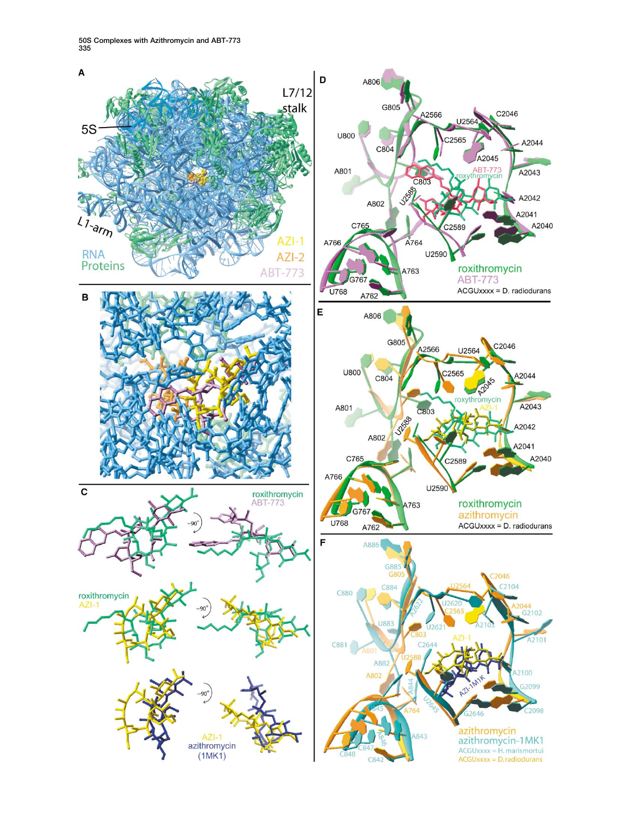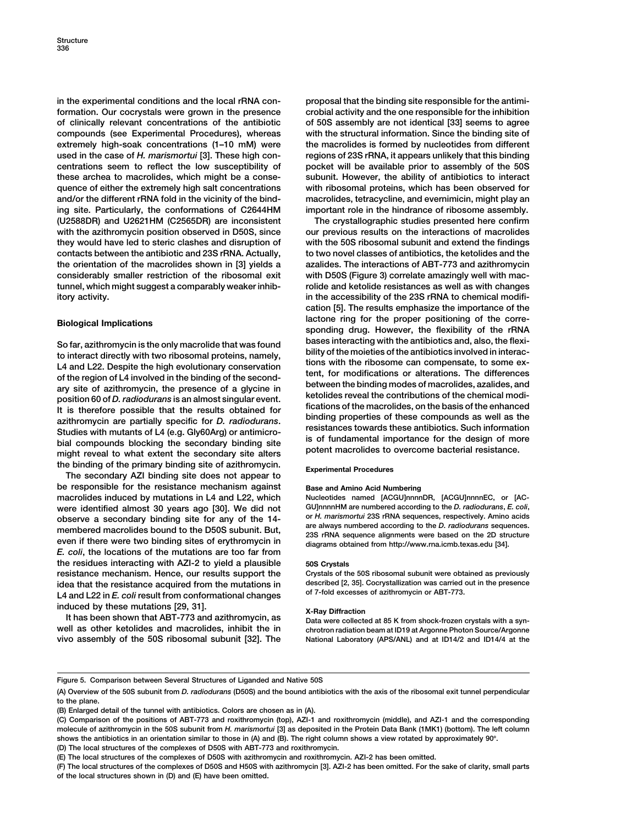**in the experimental conditions and the local rRNA con- proposal that the binding site responsible for the antimiformation. Our cocrystals were grown in the presence crobial activity and the one responsible for the inhibition of clinically relevant concentrations of the antibiotic of 50S assembly are not identical [33] seems to agree compounds (see Experimental Procedures), whereas with the structural information. Since the binding site of extremely high-soak concentrations (1–10 mM) were the macrolides is formed by nucleotides from different used in the case of** *H. marismortui* **[3]. These high con- regions of 23S rRNA, it appears unlikely that this binding centrations seem to reflect the low susceptibility of pocket will be available prior to assembly of the 50S these archea to macrolides, which might be a conse- subunit. However, the ability of antibiotics to interact quence of either the extremely high salt concentrations with ribosomal proteins, which has been observed for and/or the different rRNA fold in the vicinity of the bind- macrolides, tetracycline, and evernimicin, might play an ing site. Particularly, the conformations of C2644HM important role in the hindrance of ribosome assembly. (U2588DR) and U2621HM (C2565DR) are inconsistent The crystallographic studies presented here confirm** with the azithromycin position observed in D50S, since our previous results on the interactions of macrolides **they would have led to steric clashes and disruption of with the 50S ribosomal subunit and extend the findings contacts between the antibiotic and 23S rRNA. Actually, to two novel classes of antibiotics, the ketolides and the the orientation of the macrolides shown in [3] yields a azalides. The interactions of ABT-773 and azithromycin considerably smaller restriction of the ribosomal exit with D50S (Figure 3) correlate amazingly well with mactunnel, which might suggest a comparably weaker inhib- rolide and ketolide resistances as well as with changes** itory activity. **in the accessibility of the 23S rRNA to chemical modifi-**

So far, azithromycin is the only macrolide that was found<br>to interact directly with two ribosomal proteins, namely,<br>L4 and L22. Despite the high evolutionary conservation<br>L4 and L22. Despite the high evolutionary conservat **the binding of the primary binding site of azithromycin. Experimental Procedures The secondary AZI binding site does not appear to**

**be responsible for the resistance mechanism against Base and Amino Acid Numbering** macrolides induced by mutations in L4 and L22, which Nucleotides named [ACGU]nnnnDR, [ACGU]nnnnEC, or [AC-<br>Were identified almost 30 years ago [30]. We did not GU]nnnnHM are numbered according to the *D. radiodurans, E. co* **were identified almost 30 years ago [30]. We did not GU]nnnnHM are numbered according to the** *D. radiodurans***,** *E. coli***,** observe a secondary binding site for any of the 14-<br>marismortul 235 rRNA sequences, respectively. Amino acids<br>membered macrolides bound to the D50S subunit. But,<br>even if there were two binding sites of erythromycin in<br>diag *E. coli***, the locations of the mutations are too far from the residues interacting with AZI-2 to yield a plausible 50S Crystals resistance mechanism. Hence, our results support the Crystals of the 50S ribosomal subunit were obtained as previously** idea that the resistance acquired from the mutations in described [2, 35]. Cocrystallization was carried (2, 35)<br>L4 and L22 in E. coli result from conformational changes of 7-fold excesses of azithromycin or ABT-773.

induced by these mutations [29, 31].<br>It has been shown that ABT-773 and azithromycin, as <br>Data were collected at 85 K from shock-frozen crystals with a syn**well as other ketolides and macrolides, inhibit the in chrotron radiation beam at ID19 at Argonne Photon Source/Argonne vivo assembly of the 50S ribosomal subunit [32]. The National Laboratory (APS/ANL) and at ID14/2 and ID14/4 at the**

**cation [5]. The results emphasize the importance of the lactone ring for the proper positioning of the corre- Biological Implications sponding drug. However, the flexibility of the rRNA**

**Figure 5. Comparison between Several Structures of Liganded and Native 50S**

**<sup>(</sup>A) Overview of the 50S subunit from** *D. radiodurans* **(D50S) and the bound antibiotics with the axis of the ribosomal exit tunnel perpendicular to the plane.**

**<sup>(</sup>B) Enlarged detail of the tunnel with antibiotics. Colors are chosen as in (A).**

**<sup>(</sup>C) Comparison of the positions of ABT-773 and roxithromycin (top), AZI-1 and roxithromycin (middle), and AZI-1 and the corresponding molecule of azithromycin in the 50S subunit from** *H. marismortui* **[3] as deposited in the Protein Data Bank (1MK1) (bottom). The left column** shows the antibiotics in an orientation similar to those in (A) and (B). The right column shows a view rotated by approximately 90°. **(D) The local structures of the complexes of D50S with ABT-773 and roxithromycin.**

**<sup>(</sup>E) The local structures of the complexes of D50S with azithromycin and roxithromycin. AZI-2 has been omitted.**

**<sup>(</sup>F) The local structures of the complexes of D50S and H50S with azithromycin [3]. AZI-2 has been omitted. For the sake of clarity, small parts of the local structures shown in (D) and (E) have been omitted.**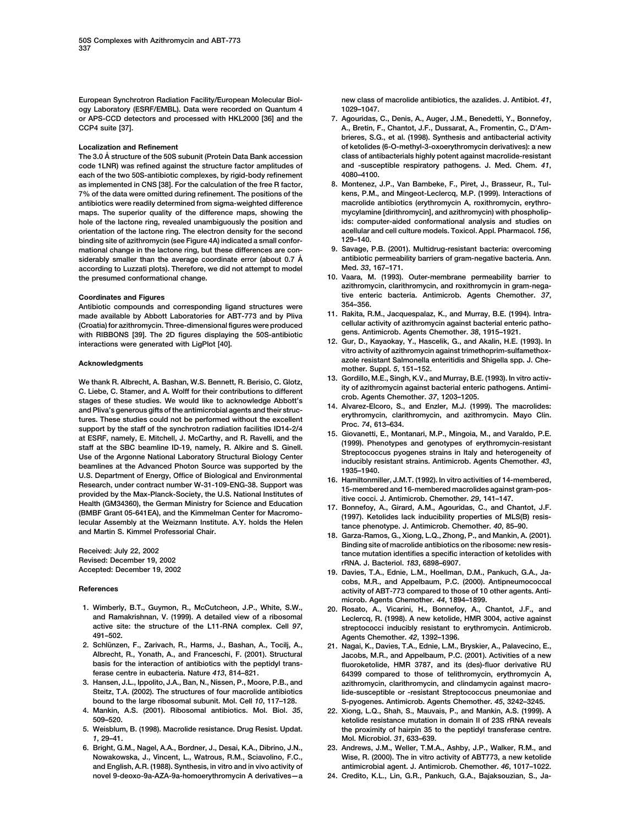**European Synchrotron Radiation Facility/European Molecular Biol- new class of macrolide antibiotics, the azalides. J. Antibiot.** *41***, ogy Laboratory (ESRF/EMBL). Data were recorded on Quantum 4 1029–1047.** or APS-CCD detectors and processed with HKL2000 [36] and the

**code 1LNR) was refined against the structure factor amplitudes of and -susceptible respiratory pathogens. J. Med. Chem.** *41***, each of the two 50S-antibiotic complexes, by rigid-body refinement 4080–4100. as implemented in CNS [38]. For the calculation of the free R factor, 8. Montenez, J.P., Van Bambeke, F., Piret, J., Brasseur, R., Tul-7% of the data were omitted during refinement. The positions of the kens, P.M., and Mingeot-Leclercq, M.P. (1999). Interactions of antibiotics were readily determined from sigma-weighted difference macrolide antibiotics (erythromycin A, roxithromycin, erythromaps. The superior quality of the difference maps, showing the mycylamine [dirithromycin], and azithromycin) with phospholiphole of the lactone ring, revealed unambiguously the position and ids: computer-aided conformational analysis and studies on orientation of the lactone ring. The electron density for the second acellular and cell culture models. Toxicol. Appl. Pharmacol.** *156***, binding site of azithromycin (see Figure 4A) indicated a small confor- 129–140. mational change in the lactone ring, but these differences are con- 9. Savage, P.B. (2001). Multidrug-resistant bacteria: overcoming** siderably smaller than the average coordinate error (about 0.7 Å antibiotic permeability barriers of gram-negative bacteria. Ann.<br>according to Luzzati plots). Therefore, we did not attempt to model Med. 33, 167–171. according to Luzzati plots). Therefore, we did not attempt to model **the presumed conformational change. 10. Vaara, M. (1993). Outer-membrane permeability barrier to**

**Antibiotic compounds and corresponding ligand structures were 354–356. made available by Abbott Laboratories for ABT-773 and by Pliva 11. Rakita, R.M., Jacquespalaz, K., and Murray, B.E. (1994). Intracellular activity of azithromycin against bacterial enteric patho- (Croatia) for azithromycin. Three-dimensional figures were produced with RIBBONS [39]. The 2D figures displaying the 50S-antibiotic gens. Antimicrob. Agents Chemother.** *38***, 1915–1921.**

We thank R. Albrecht, A. Bashan, W.S. Bennett, R. Berisio, C. Glotz, angly, K., C. Singh, K.V., and Muray, B. E. (1993). In vitro activictions to diff to their contributions to different cand A. Wolf for their contribution

- **1. Wimberly, B.T., Guymon, R., McCutcheon, J.P., White, S.W., 20. Rosato, A., Vicarini, H., Bonnefoy, A., Chantot, J.F., and 491–502. Agents Chemother.** *42***, 1392–1396.**
- 
- 
- 
- *1***, 29–41. Mol. Microbiol.** *31***, 633–639.**
- **6. Bright, G.M., Nagel, A.A., Bordner, J., Desai, K.A., Dibrino, J.N., 23. Andrews, J.M., Weller, T.M.A., Ashby, J.P., Walker, R.M., and and English, A.R. (1988). Synthesis, in vitro and in vivo activity of antimicrobial agent. J. Antimicrob. Chemother.** *46***, 1017–1022. novel 9-deoxo-9a-AZA-9a-homoerythromycin A derivatives—a 24. Credito, K.L., Lin, G.R., Pankuch, G.A., Bajaksouzian, S., Ja-**

- **CCP4 suite [37]. A., Bretin, F., Chantot, J.F., Dussarat, A., Fromentin, C., D'Ambrieres, S.G., et al. (1998). Synthesis and antibacterial activity Localization and Refinement of ketolides (6-O-methyl-3-oxoerythromycin derivatives): a new The 3.0 A˚ structure of the 50S subunit (Protein Data Bank accession class of antibacterials highly potent against macrolide-resistant**
	-
	-
- **azithromycin, clarithromycin, and roxithromycin in gram-nega-Coordinates and Figures tive enteric bacteria. Antimicrob. Agents Chemother.** *37***,**
	-
- **12. Gur, D., Kayaokay, Y., Hascelik, G., and Akalin, H.E. (1993). In interactions were generated with LigPlot [40]. vitro activity of azithromycin against trimethoprim-sulfamethoxazole resistant Salmonella enteritidis and Shigella spp. J. Che- Acknowledgments mother. Suppl.** *<sup>5</sup>***, 151–152.**
	-
	-
	-
	-
	-
- Received: July 22, 2002<br>
Revised: December 19, 2002<br>
Accepted: December 19, 2002<br>
Accepted: December 19, 2002<br>
Accepted: December 19, 2002<br>
TAN. J. Backing J. M. Hollman, D. M. Papkuch G.A. Ja
- 19. Davies, T.A., Ednie, L.M., Hoellman, D.M., Pankuch, G.A., Ja**cobs, M.R., and Appelbaum, P.C. (2000). Antipneumococcal References** activity of ABT-773 compared to those of 10 other agents. Anti**microb. Agents Chemother.** *44***, 1894–1899.**
	- **and Ramakrishnan, V. (1999). A detailed view of a ribosomal Leclercq, R. (1998). A new ketolide, HMR 3004, active against active site: the structure of the L11-RNA complex. Cell** *97***, streptococci inducibly resistant to erythromycin. Antimicrob.**
- 21. Nagai, K., Davies, T.A., Ednie, L.M., Bryskier, A., Palavecino, E., **Albrecht, R., Yonath, A., and Franceschi, F. (2001). Structural Jacobs, M.R., and Appelbaum, P.C. (2001). Activities of a new basis for the interaction of antibiotics with the peptidyl trans- fluoroketolide, HMR 3787, and its (des)-fluor derivative RU ferase centre in eubacteria. Nature** *413***, 814–821. 64399 compared to those of telithromycin, erythromycin A,** azithromycin, clarithromycin, and clindamycin against macro-**Steitz, T.A. (2002). The structures of four macrolide antibiotics lide-susceptible or -resistant Streptococcus pneumoniae and bound to the large ribosomal subunit. Mol. Cell** *10***, 117–128. S-pyogenes. Antimicrob. Agents Chemother.** *45***, 3242–3245.**
- **4. Mankin, A.S. (2001). Ribosomal antibiotics. Mol. Biol.** *35***, 22. Xiong, L.Q., Shah, S., Mauvais, P., and Mankin, A.S. (1999). A 509–520. ketolide resistance mutation in domain II of 23S rRNA reveals 5. Weisblum, B. (1998). Macrolide resistance. Drug Resist. Updat. the proximity of hairpin 35 to the peptidyl transferase centre.**
	- **Nowakowska, J., Vincent, L., Watrous, R.M., Sciavolino, F.C., Wise, R. (2000). The in vitro activity of ABT773, a new ketolide**
		-